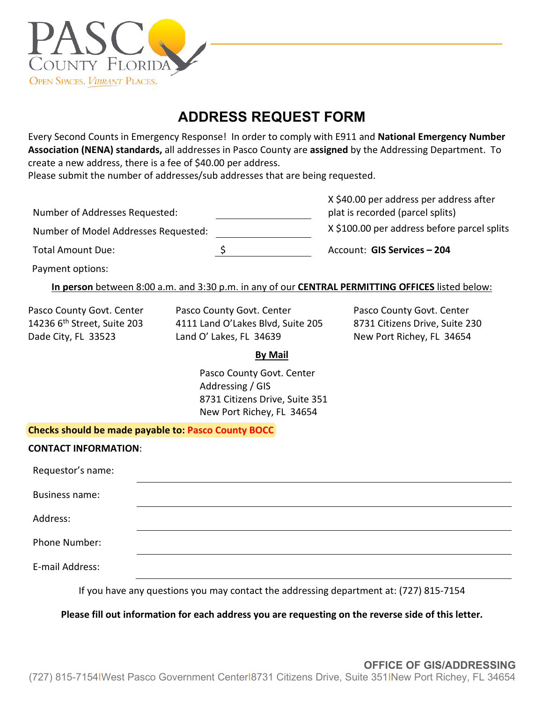

## **ADDRESS REQUEST FORM**

Every Second Counts in Emergency Response! In order to comply with E911 and **National Emergency Number Association (NENA) standards,** all addresses in Pasco County are **assigned** by the Addressing Department. To create a new address, there is a fee of \$40.00 per address.

Please submit the number of addresses/sub addresses that are being requested.

|                                      | X \$40.00 per address per address after     |  |  |
|--------------------------------------|---------------------------------------------|--|--|
| Number of Addresses Requested:       | plat is recorded (parcel splits)            |  |  |
| Number of Model Addresses Requested: | X \$100.00 per address before parcel splits |  |  |
| <b>Total Amount Due:</b>             | Account: GIS Services - 204                 |  |  |

Payment options:

## **In person** between 8:00 a.m. and 3:30 p.m. in any of our **CENTRAL PERMITTING OFFICES** listed below:

Pasco County Govt. Center Pasco County Govt. Center Pasco County Govt. Center 14236 6<sup>th</sup> Street, Suite 203 4111 Land O'Lakes Blvd, Suite 205 8731 Citizens Drive, Suite 230 Dade City, FL 33523 Land O' Lakes, FL 34639 New Port Richey, FL 34654

## **By Mail**

Pasco County Govt. Center Addressing / GIS 8731 Citizens Drive, Suite 351 New Port Richey, FL 34654

**Checks should be made payable to: Pasco County BOCC**

| <b>CONTACT INFORMATION:</b>                               |  |
|-----------------------------------------------------------|--|
| Requestor's name:                                         |  |
| <b>Business name:</b>                                     |  |
| Address:                                                  |  |
| Phone Number:                                             |  |
| E-mail Address:                                           |  |
| $\mathbf{r}$ , $\mathbf{r}$ , $\mathbf{r}$ , $\mathbf{r}$ |  |

If you have any questions you may contact the addressing department at: (727) 815-7154

**Please fill out information for each address you are requesting on the reverse side of this letter.**